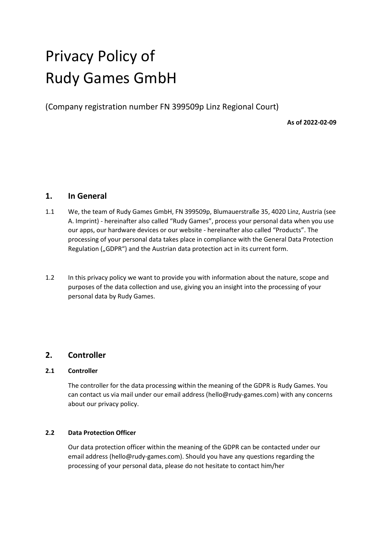# Privacy Policy of Rudy Games GmbH

(Company registration number FN 399509p Linz Regional Court)

**As of 2022-02-09**

# **1. In General**

- 1.1 We, the team of Rudy Games GmbH, FN 399509p, Blumauerstraße 35, 4020 Linz, Austria (see A. Imprint) - hereinafter also called "Rudy Games", process your personal data when you use our apps, our hardware devices or our website - hereinafter also called "Products". The processing of your personal data takes place in compliance with the General Data Protection Regulation ("GDPR") and the Austrian data protection act in its current form.
- 1.2 In this privacy policy we want to provide you with information about the nature, scope and purposes of the data collection and use, giving you an insight into the processing of your personal data by Rudy Games.

# **2. Controller**

## **2.1 Controller**

The controller for the data processing within the meaning of the GDPR is Rudy Games. You can contact us via mail under our email address [\(hello@rudy-games.com\)](mailto:contact@rudy-games.com) with any concerns about our privacy policy.

## **2.2 Data Protection Officer**

Our data protection officer within the meaning of the GDPR can be contacted under our email address (hello@rudy-games.com). Should you have any questions regarding the processing of your personal data, please do not hesitate to contact him/her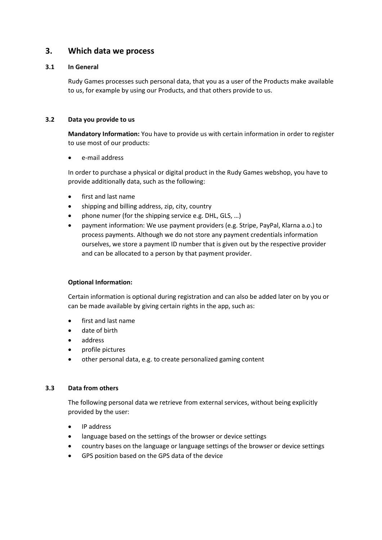# **3. Which data we process**

## **3.1 In General**

Rudy Games processes such personal data, that you as a user of the Products make available to us, for example by using our Products, and that others provide to us.

## **3.2 Data you provide to us**

**Mandatory Information:** You have to provide us with certain information in order to register to use most of our products:

• e-mail address

In order to purchase a physical or digital product in the Rudy Games webshop, you have to provide additionally data, such as the following:

- first and last name
- shipping and billing address, zip, city, country
- phone numer (for the shipping service e.g. DHL, GLS, ...)
- payment information: We use payment providers (e.g. Stripe, PayPal, Klarna a.o.) to process payments. Although we do not store any payment credentials information ourselves, we store a payment ID number that is given out by the respective provider and can be allocated to a person by that payment provider.

## **Optional Information:**

Certain information is optional during registration and can also be added later on by you or can be made available by giving certain rights in the app, such as:

- first and last name
- date of birth
- address
- profile pictures
- other personal data, e.g. to create personalized gaming content

## **3.3 Data from others**

The following personal data we retrieve from external services, without being explicitly provided by the user:

- IP address
- language based on the settings of the browser or device settings
- country bases on the language or language settings of the browser or device settings
- GPS position based on the GPS data of the device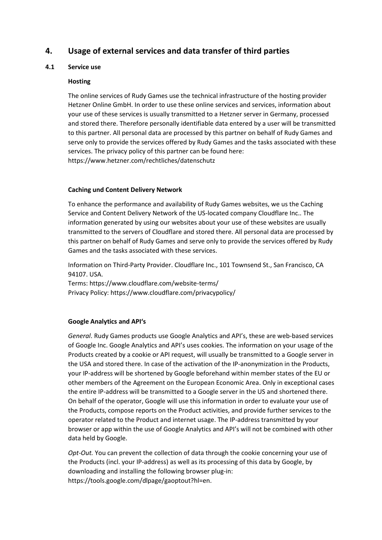# **4. Usage of external services and data transfer of third parties**

## **4.1 Service use**

## **Hosting**

The online services of Rudy Games use the technical infrastructure of the hosting provider Hetzner Online GmbH. In order to use these online services and services, information about your use of these services is usually transmitted to a Hetzner server in Germany, processed and stored there. Therefore personally identifiable data entered by a user will be transmitted to this partner. All personal data are processed by this partner on behalf of Rudy Games and serve only to provide the services offered by Rudy Games and the tasks associated with these services. The privacy policy of this partner can be found here: https://www.hetzner.com/rechtliches/datenschutz

## **Caching und Content Delivery Network**

To enhance the performance and availability of Rudy Games websites, we us the Caching Service and Content Delivery Network of the US-located company Cloudflare Inc.. The information generated by using our websites about your use of these websites are usually transmitted to the servers of Cloudflare and stored there. All personal data are processed by this partner on behalf of Rudy Games and serve only to provide the services offered by Rudy Games and the tasks associated with these services.

Information on Third-Party Provider. Cloudflare Inc., 101 Townsend St., San Francisco, CA 94107. USA.

Terms: https://www.cloudflare.com/website-terms/ Privacy Policy: https://www.cloudflare.com/privacypolicy/

## **Google Analytics and API's**

*General*. Rudy Games products use Google Analytics and API's, these are web-based services of Google Inc. Google Analytics and API's uses cookies. The information on your usage of the Products created by a cookie or API request, will usually be transmitted to a Google server in the USA and stored there. In case of the activation of the IP-anonymization in the Products, your IP-address will be shortened by Google beforehand within member states of the EU or other members of the Agreement on the European Economic Area. Only in exceptional cases the entire IP-address will be transmitted to a Google server in the US and shortened there. On behalf of the operator, Google will use this information in order to evaluate your use of the Products, compose reports on the Product activities, and provide further services to the operator related to the Product and internet usage. The IP-address transmitted by your browser or app within the use of Google Analytics and API's will not be combined with other data held by Google.

*Opt-Out.* You can prevent the collection of data through the cookie concerning your use of the Products (incl. your IP-address) as well as its processing of this data by Google, by downloading and installing the following browser plug-in: https://tools.google.com/dlpage/gaoptout?hl=en.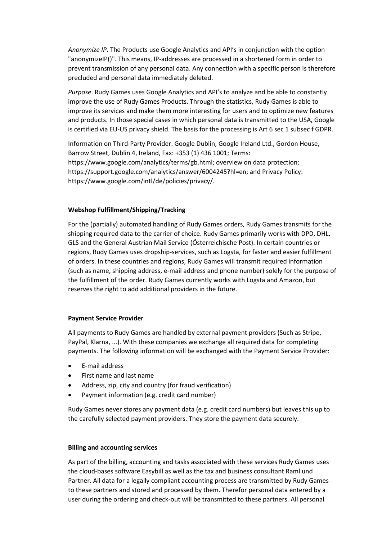*Anonymize IP*. The Products use Google Analytics and API's in conjunction with the option "anonymizeIP()". This means, IP-addresses are processed in a shortened form in order to prevent transmission of any personal data. Any connection with a specific person is therefore precluded and personal data immediately deleted.

*Purpose*. Rudy Games uses Google Analytics and API's to analyze and be able to constantly improve the use of Rudy Games Products. Through the statistics, Rudy Games is able to improve its services and make them more interesting for users and to optimize new features and products. In those special cases in which personal data is transmitted to the USA, Google is certified via EU-US privacy shield. The basis for the processing is Art 6 sec 1 subsec f GDPR.

Information on Third-Party Provider. Google Dublin, Google Ireland Ltd., Gordon House, Barrow Street, Dublin 4, Ireland, Fax: +353 (1) 436 1001; Terms: https://www.google.com/analytics/terms/gb.html; overview on data protection: https://support.google.com/analytics/answer/6004245?hl=en; and Privacy Policy: https://www.google.com/intl/de/policies/privacy/.

## **Webshop Fulfillment/Shipping/Tracking**

For the (partially) automated handling of Rudy Games orders, Rudy Games transmits for the shipping required data to the carrier of choice. Rudy Games primarily works with DPD, DHL, GLS and the General Austrian Mail Service (Österreichische Post). In certain countries or regions, Rudy Games uses dropship-services, such as Logsta, for faster and easier fulfillment of orders. In these countries and regions, Rudy Games will transmit required information (such as name, shipping address, e-mail address and phone number) solely for the purpose of the fulfillment of the order. Rudy Games currently works with Logsta and Amazon, but reserves the right to add additional providers in the future.

## **Payment Service Provider**

All payments to Rudy Games are handled by external payment providers (Such as Stripe, PayPal, Klarna, ...). With these companies we exchange all required data for completing payments. The following information will be exchanged with the Payment Service Provider:

- E-mail address
- First name and last name
- Address, zip, city and country (for fraud verification)
- Payment information (e.g. credit card number)

Rudy Games never stores any payment data (e.g. credit card numbers) but leaves this up to the carefully selected payment providers. They store the payment data securely.

#### **Billing and accounting services**

As part of the billing, accounting and tasks associated with these services Rudy Games uses the cloud-bases software Easybill as well as the tax and business consultant Raml und Partner. All data for a legally compliant accounting process are transmitted by Rudy Games to these partners and stored and processed by them. Therefor personal data entered by a user during the ordering and check-out will be transmitted to these partners. All personal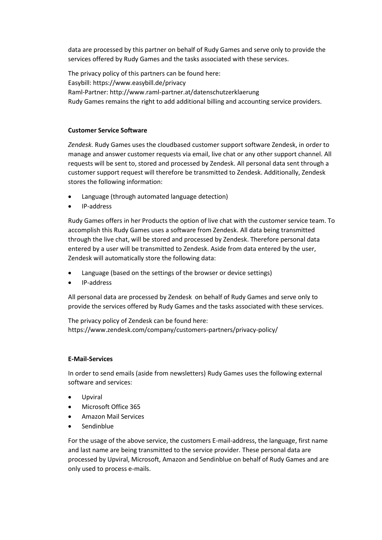data are processed by this partner on behalf of Rudy Games and serve only to provide the services offered by Rudy Games and the tasks associated with these services.

The privacy policy of this partners can be found here: Easybill: https://www.easybill.de/privacy Raml-Partner: http://www.raml-partner.at/datenschutzerklaerung Rudy Games remains the right to add additional billing and accounting service providers.

## **Customer Service Software**

*Zendesk.* Rudy Games uses the cloudbased customer support software Zendesk, in order to manage and answer customer requests via email, live chat or any other support channel. All requests will be sent to, stored and processed by Zendesk. All personal data sent through a customer support request will therefore be transmitted to Zendesk. Additionally, Zendesk stores the following information:

- Language (through automated language detection)
- IP-address

Rudy Games offers in her Products the option of live chat with the customer service team. To accomplish this Rudy Games uses a software from Zendesk. All data being transmitted through the live chat, will be stored and processed by Zendesk. Therefore personal data entered by a user will be transmitted to Zendesk. Aside from data entered by the user, Zendesk will automatically store the following data:

- Language (based on the settings of the browser or device settings)
- IP-address

All personal data are processed by Zendesk on behalf of Rudy Games and serve only to provide the services offered by Rudy Games and the tasks associated with these services.

The privacy policy of Zendesk can be found here: https://www.zendesk.com/company/customers-partners/privacy-policy/

## **E-Mail-Services**

In order to send emails (aside from newsletters) Rudy Games uses the following external software and services:

- Upviral
- Microsoft Office 365
- Amazon Mail Services
- Sendinblue

For the usage of the above service, the customers E-mail-address, the language, first name and last name are being transmitted to the service provider. These personal data are processed by Upviral, Microsoft, Amazon and Sendinblue on behalf of Rudy Games and are only used to process e-mails.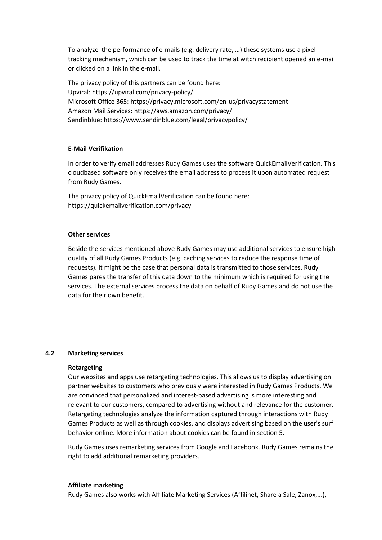To analyze the performance of e-mails (e.g. delivery rate, …) these systems use a pixel tracking mechanism, which can be used to track the time at witch recipient opened an e-mail or clicked on a link in the e-mail.

The privacy policy of this partners can be found here: Upviral: https://upviral.com/privacy-policy/ Microsoft Office 365: https://privacy.microsoft.com/en-us/privacystatement Amazon Mail Services: https://aws.amazon.com/privacy/ Sendinblue: https://www.sendinblue.com/legal/privacypolicy/

## **E-Mail Verifikation**

In order to verify email addresses Rudy Games uses the software QuickEmailVerification. This cloudbased software only receives the email address to process it upon automated request from Rudy Games.

The privacy policy of QuickEmailVerification can be found here: https://quickemailverification.com/privacy

#### **Other services**

Beside the services mentioned above Rudy Games may use additional services to ensure high quality of all Rudy Games Products (e.g. caching services to reduce the response time of requests). It might be the case that personal data is transmitted to those services. Rudy Games pares the transfer of this data down to the minimum which is required for using the services. The external services process the data on behalf of Rudy Games and do not use the data for their own benefit.

#### **4.2 Marketing services**

#### **Retargeting**

Our websites and apps use retargeting technologies. This allows us to display advertising on partner websites to customers who previously were interested in Rudy Games Products. We are convinced that personalized and interest-based advertising is more interesting and relevant to our customers, compared to advertising without and relevance for the customer. Retargeting technologies analyze the information captured through interactions with Rudy Games Products as well as through cookies, and displays advertising based on the user's surf behavior online. More information about cookies can be found in section 5.

Rudy Games uses remarketing services from Google and Facebook. Rudy Games remains the right to add additional remarketing providers.

#### **Affiliate marketing**

Rudy Games also works with Affiliate Marketing Services (Affilinet, Share a Sale, Zanox,...),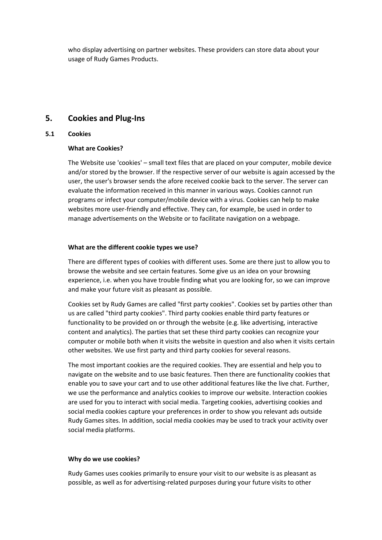who display advertising on partner websites. These providers can store data about your usage of Rudy Games Products.

# **5. Cookies and Plug-Ins**

## **5.1 Cookies**

## **What are Cookies?**

The Website use 'cookies' – small text files that are placed on your computer, mobile device and/or stored by the browser. If the respective server of our website is again accessed by the user, the user's browser sends the afore received cookie back to the server. The server can evaluate the information received in this manner in various ways. Cookies cannot run programs or infect your computer/mobile device with a virus. Cookies can help to make websites more user-friendly and effective. They can, for example, be used in order to manage advertisements on the Website or to facilitate navigation on a webpage.

## **What are the different cookie types we use?**

There are different types of cookies with different uses. Some are there just to allow you to browse the website and see certain features. Some give us an idea on your browsing experience, i.e. when you have trouble finding what you are looking for, so we can improve and make your future visit as pleasant as possible.

Cookies set by Rudy Games are called "first party cookies". Cookies set by parties other than us are called "third party cookies". Third party cookies enable third party features or functionality to be provided on or through the website (e.g. like advertising, interactive content and analytics). The parties that set these third party cookies can recognize your computer or mobile both when it visits the website in question and also when it visits certain other websites. We use first party and third party cookies for several reasons.

The most important cookies are the required cookies. They are essential and help you to navigate on the website and to use basic features. Then there are functionality cookies that enable you to save your cart and to use other additional features like the live chat. Further, we use the performance and analytics cookies to improve our website. Interaction cookies are used for you to interact with social media. Targeting cookies, advertising cookies and social media cookies capture your preferences in order to show you relevant ads outside Rudy Games sites. In addition, social media cookies may be used to track your activity over social media platforms.

## **Why do we use cookies?**

Rudy Games uses cookies primarily to ensure your visit to our website is as pleasant as possible, as well as for advertising-related purposes during your future visits to other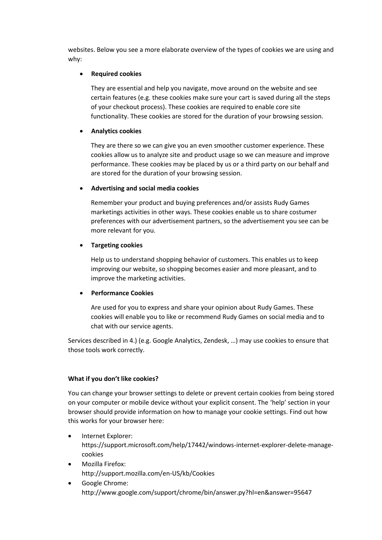websites. Below you see a more elaborate overview of the types of cookies we are using and why:

## • **Required cookies**

They are essential and help you navigate, move around on the website and see certain features (e.g. these cookies make sure your cart is saved during all the steps of your checkout process). These cookies are required to enable core site functionality. These cookies are stored for the duration of your browsing session.

## • **Analytics cookies**

They are there so we can give you an even smoother customer experience. These cookies allow us to analyze site and product usage so we can measure and improve performance. These cookies may be placed by us or a third party on our behalf and are stored for the duration of your browsing session.

## • **Advertising and social media cookies**

Remember your product and buying preferences and/or assists Rudy Games marketings activities in other ways. These cookies enable us to share costumer preferences with our advertisement partners, so the advertisement you see can be more relevant for you.

## • **Targeting cookies**

Help us to understand shopping behavior of customers. This enables us to keep improving our website, so shopping becomes easier and more pleasant, and to improve the marketing activities.

## • **Performance Cookies**

Are used for you to express and share your opinion about Rudy Games. These cookies will enable you to like or recommend Rudy Games on social media and to chat with our service agents.

Services described in 4.) (e.g. Google Analytics, Zendesk, …) may use cookies to ensure that those tools work correctly.

## **What if you don't like cookies?**

You can change your browser settings to delete or prevent certain cookies from being stored on your computer or mobile device without your explicit consent. The 'help' section in your browser should provide information on how to manage your cookie settings. Find out how this works for your browser here:

- Internet Explorer: https://support.microsoft.com/help/17442/windows-internet-explorer-delete-managecookies
- Mozilla Firefox: http://support.mozilla.com/en-US/kb/Cookies
- Google Chrome: http://www.google.com/support/chrome/bin/answer.py?hl=en&answer=95647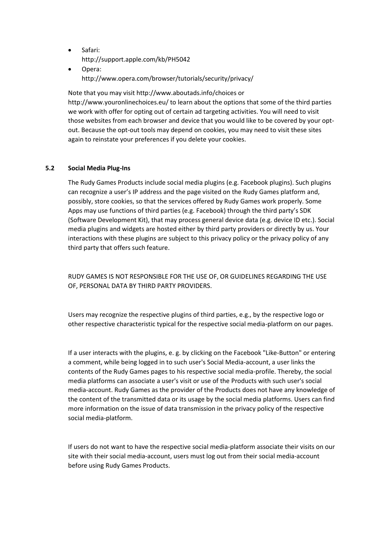- Safari: http://support.apple.com/kb/PH5042
- Opera: http://www.opera.com/browser/tutorials/security/privacy/

Note that you may visit http://www.aboutads.info/choices or http://www.youronlinechoices.eu/ to learn about the options that some of the third parties we work with offer for opting out of certain ad targeting activities. You will need to visit those websites from each browser and device that you would like to be covered by your optout. Because the opt-out tools may depend on cookies, you may need to visit these sites again to reinstate your preferences if you delete your cookies.

## **5.2 Social Media Plug-Ins**

The Rudy Games Products include social media plugins (e.g. Facebook plugins). Such plugins can recognize a user's IP address and the page visited on the Rudy Games platform and, possibly, store cookies, so that the services offered by Rudy Games work properly. Some Apps may use functions of third parties (e.g. Facebook) through the third party's SDK (Software Development Kit), that may process general device data (e.g. device ID etc.). Social media plugins and widgets are hosted either by third party providers or directly by us. Your interactions with these plugins are subject to this privacy policy or the privacy policy of any third party that offers such feature.

RUDY GAMES IS NOT RESPONSIBLE FOR THE USE OF, OR GUIDELINES REGARDING THE USE OF, PERSONAL DATA BY THIRD PARTY PROVIDERS.

Users may recognize the respective plugins of third parties, e.g., by the respective logo or other respective characteristic typical for the respective social media-platform on our pages.

If a user interacts with the plugins, e. g. by clicking on the Facebook "Like-Button" or entering a comment, while being logged in to such user's Social Media-account, a user links the contents of the Rudy Games pages to his respective social media-profile. Thereby, the social media platforms can associate a user's visit or use of the Products with such user's social media-account. Rudy Games as the provider of the Products does not have any knowledge of the content of the transmitted data or its usage by the social media platforms. Users can find more information on the issue of data transmission in the privacy policy of the respective social media-platform.

If users do not want to have the respective social media-platform associate their visits on our site with their social media-account, users must log out from their social media-account before using Rudy Games Products.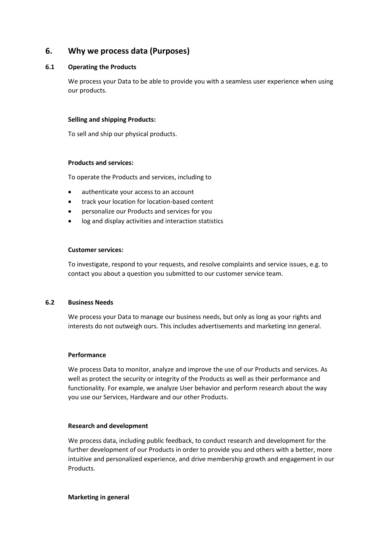# **6. Why we process data (Purposes)**

## **6.1 Operating the Products**

We process your Data to be able to provide you with a seamless user experience when using our products.

## **Selling and shipping Products:**

To sell and ship our physical products.

#### **Products and services:**

To operate the Products and services, including to

- authenticate your access to an account
- track your location for location-based content
- personalize our Products and services for you
- log and display activities and interaction statistics

#### **Customer services:**

To investigate, respond to your requests, and resolve complaints and service issues, e.g. to contact you about a question you submitted to our customer service team.

## **6.2 Business Needs**

We process your Data to manage our business needs, but only as long as your rights and interests do not outweigh ours. This includes advertisements and marketing inn general.

## **Performance**

We process Data to monitor, analyze and improve the use of our Products and services. As well as protect the security or integrity of the Products as well as their performance and functionality. For example, we analyze User behavior and perform research about the way you use our Services, Hardware and our other Products.

## **Research and development**

We process data, including public feedback, to conduct research and development for the further development of our Products in order to provide you and others with a better, more intuitive and personalized experience, and drive membership growth and engagement in our Products.

## **Marketing in general**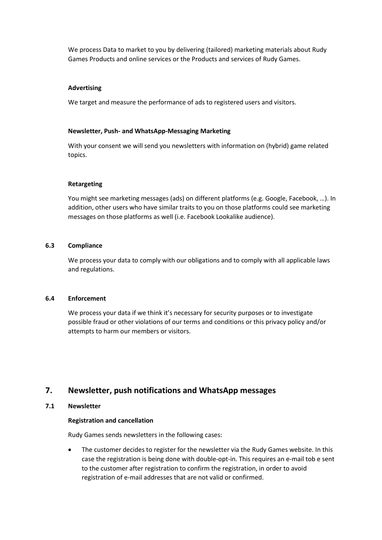We process Data to market to you by delivering (tailored) marketing materials about Rudy Games Products and online services or the Products and services of Rudy Games.

#### **Advertising**

We target and measure the performance of ads to registered users and visitors.

#### **Newsletter, Push- and WhatsApp-Messaging Marketing**

With your consent we will send you newsletters with information on (hybrid) game related topics.

#### **Retargeting**

You might see marketing messages (ads) on different platforms (e.g. Google, Facebook, ...). In addition, other users who have similar traits to you on those platforms could see marketing messages on those platforms as well (i.e. Facebook Lookalike audience).

#### **6.3 Compliance**

We process your data to comply with our obligations and to comply with all applicable laws and regulations.

#### **6.4 Enforcement**

We process your data if we think it's necessary for security purposes or to investigate possible fraud or other violations of our terms and conditions or this privacy policy and/or attempts to harm our members or visitors.

# **7. Newsletter, push notifications and WhatsApp messages**

## **7.1 Newsletter**

#### **Registration and cancellation**

Rudy Games sends newsletters in the following cases:

• The customer decides to register for the newsletter via the Rudy Games website. In this case the registration is being done with double-opt-in. This requires an e-mail tob e sent to the customer after registration to confirm the registration, in order to avoid registration of e-mail addresses that are not valid or confirmed.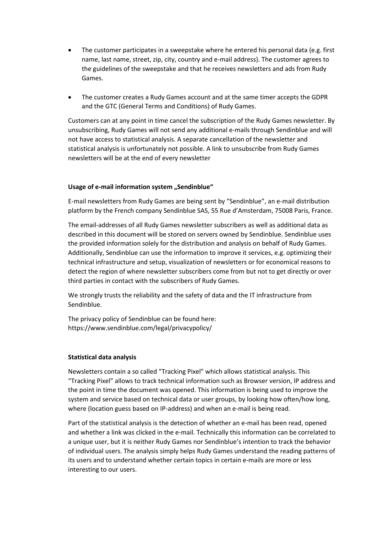- The customer participates in a sweepstake where he entered his personal data (e.g. first name, last name, street, zip, city, country and e-mail address). The customer agrees to the guidelines of the sweepstake and that he receives newsletters and ads from Rudy Games.
- The customer creates a Rudy Games account and at the same timer accepts the GDPR and the GTC (General Terms and Conditions) of Rudy Games.

Customers can at any point in time cancel the subscription of the Rudy Games newsletter. By unsubscribing, Rudy Games will not send any additional e-mails through Sendinblue and will not have access to statistical analysis. A separate cancellation of the newsletter and statistical analysis is unfortunately not possible. A link to unsubscribe from Rudy Games newsletters will be at the end of every newsletter

## **Usage of e-mail information system "Sendinblue"**

E-mail newsletters from Rudy Games are being sent by "Sendinblue", an e-mail distribution platform by the French company Sendinblue SAS, 55 Rue d'Amsterdam, 75008 Paris, France.

The email-addresses of all Rudy Games newsletter subscribers as well as additional data as described in this document will be stored on servers owned by Sendinblue. Sendinblue uses the provided information solely for the distribution and analysis on behalf of Rudy Games. Additionally, Sendinblue can use the information to improve it services, e.g. optimizing their technical infrastructure and setup, visualization of newsletters or for economical reasons to detect the region of where newsletter subscribers come from but not to get directly or over third parties in contact with the subscribers of Rudy Games.

We strongly trusts the reliability and the safety of data and the IT infrastructure from Sendinblue.

The privacy policy of Sendinblue can be found here: https://www.sendinblue.com/legal/privacypolicy/

#### **Statistical data analysis**

Newsletters contain a so called "Tracking Pixel" which allows statistical analysis. This "Tracking Pixel" allows to track technical information such as Browser version, IP address and the point in time the document was opened. This information is being used to improve the system and service based on technical data or user groups, by looking how often/how long, where (location guess based on IP-address) and when an e-mail is being read.

Part of the statistical analysis is the detection of whether an e-mail has been read, opened and whether a link was clicked in the e-mail. Technically this information can be correlated to a unique user, but it is neither Rudy Games nor Sendinblue's intention to track the behavior of individual users. The analysis simply helps Rudy Games understand the reading patterns of its users and to understand whether certain topics in certain e-mails are more or less interesting to our users.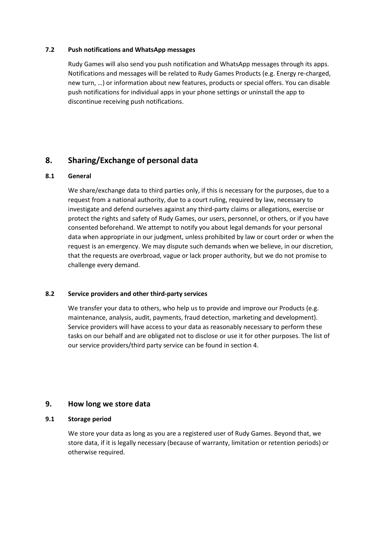## **7.2 Push notifications and WhatsApp messages**

Rudy Games will also send you push notification and WhatsApp messages through its apps. Notifications and messages will be related to Rudy Games Products (e.g. Energy re-charged, new turn, …) or information about new features, products or special offers. You can disable push notifications for individual apps in your phone settings or uninstall the app to discontinue receiving push notifications.

# **8. Sharing/Exchange of personal data**

#### **8.1 General**

We share/exchange data to third parties only, if this is necessary for the purposes, due to a request from a national authority, due to a court ruling, required by law, necessary to investigate and defend ourselves against any third-party claims or allegations, exercise or protect the rights and safety of Rudy Games, our users, personnel, or others, or if you have consented beforehand. We attempt to notify you about legal demands for your personal data when appropriate in our judgment, unless prohibited by law or court order or when the request is an emergency. We may dispute such demands when we believe, in our discretion, that the requests are overbroad, vague or lack proper authority, but we do not promise to challenge every demand.

#### **8.2 Service providers and other third-party services**

We transfer your data to others, who help us to provide and improve our Products (e.g. maintenance, analysis, audit, payments, fraud detection, marketing and development). Service providers will have access to your data as reasonably necessary to perform these tasks on our behalf and are obligated not to disclose or use it for other purposes. The list of our service providers/third party service can be found in section 4.

## **9. How long we store data**

## **9.1 Storage period**

We store your data as long as you are a registered user of Rudy Games. Beyond that, we store data, if it is legally necessary (because of warranty, limitation or retention periods) or otherwise required.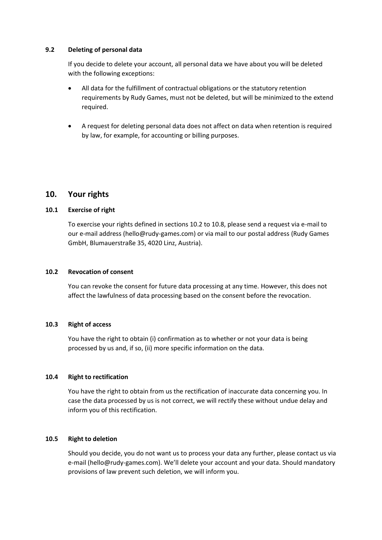## **9.2 Deleting of personal data**

If you decide to delete your account, all personal data we have about you will be deleted with the following exceptions:

- All data for the fulfillment of contractual obligations or the statutory retention requirements by Rudy Games, must not be deleted, but will be minimized to the extend required.
- A request for deleting personal data does not affect on data when retention is required by law, for example, for accounting or billing purposes.

# **10. Your rights**

## **10.1 Exercise of right**

To exercise your rights defined in sections 10.2 to 10.8, please send a request via e-mail to our e-mail address (hello@rudy-games.com) or via mail to our postal address (Rudy Games GmbH, Blumauerstraße 35, 4020 Linz, Austria).

## **10.2 Revocation of consent**

You can revoke the consent for future data processing at any time. However, this does not affect the lawfulness of data processing based on the consent before the revocation.

#### **10.3 Right of access**

You have the right to obtain (i) confirmation as to whether or not your data is being processed by us and, if so, (ii) more specific information on the data.

## **10.4 Right to rectification**

You have the right to obtain from us the rectification of inaccurate data concerning you. In case the data processed by us is not correct, we will rectify these without undue delay and inform you of this rectification.

#### **10.5 Right to deletion**

Should you decide, you do not want us to process your data any further, please contact us via e-mail (hello@rudy-games.com). We'll delete your account and your data. Should mandatory provisions of law prevent such deletion, we will inform you.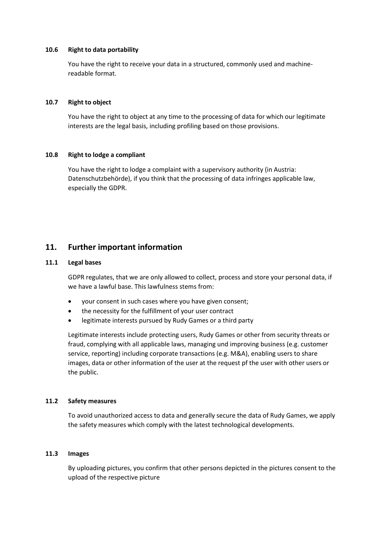#### **10.6 Right to data portability**

You have the right to receive your data in a structured, commonly used and machinereadable format.

#### **10.7 Right to object**

You have the right to object at any time to the processing of data for which our legitimate interests are the legal basis, including profiling based on those provisions.

#### **10.8 Right to lodge a compliant**

You have the right to lodge a complaint with a supervisory authority (in Austria: Datenschutzbehörde), if you think that the processing of data infringes applicable law, especially the GDPR.

# **11. Further important information**

#### **11.1 Legal bases**

GDPR regulates, that we are only allowed to collect, process and store your personal data, if we have a lawful base. This lawfulness stems from:

- your consent in such cases where you have given consent;
- the necessity for the fulfillment of your user contract
- legitimate interests pursued by Rudy Games or a third party

Legitimate interests include protecting users, Rudy Games or other from security threats or fraud, complying with all applicable laws, managing und improving business (e.g. customer service, reporting) including corporate transactions (e.g. M&A), enabling users to share images, data or other information of the user at the request pf the user with other users or the public.

#### **11.2 Safety measures**

To avoid unauthorized access to data and generally secure the data of Rudy Games, we apply the safety measures which comply with the latest technological developments.

#### **11.3 Images**

By uploading pictures, you confirm that other persons depicted in the pictures consent to the upload of the respective picture